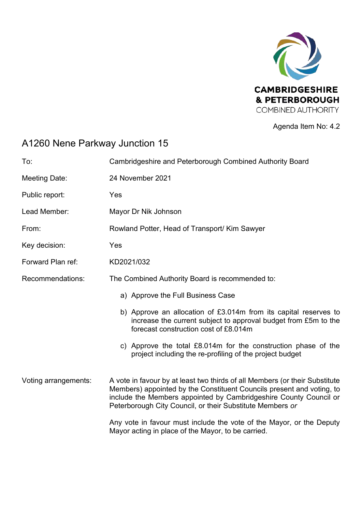

Agenda Item No: 4.2

## A1260 Nene Parkway Junction 15

| To:                  | Cambridgeshire and Peterborough Combined Authority Board                                                                                                                                                                                                                               |
|----------------------|----------------------------------------------------------------------------------------------------------------------------------------------------------------------------------------------------------------------------------------------------------------------------------------|
| <b>Meeting Date:</b> | 24 November 2021                                                                                                                                                                                                                                                                       |
| Public report:       | Yes                                                                                                                                                                                                                                                                                    |
| Lead Member:         | Mayor Dr Nik Johnson                                                                                                                                                                                                                                                                   |
| From:                | Rowland Potter, Head of Transport/ Kim Sawyer                                                                                                                                                                                                                                          |
| Key decision:        | Yes                                                                                                                                                                                                                                                                                    |
| Forward Plan ref:    | KD2021/032                                                                                                                                                                                                                                                                             |
| Recommendations:     | The Combined Authority Board is recommended to:                                                                                                                                                                                                                                        |
|                      | a) Approve the Full Business Case                                                                                                                                                                                                                                                      |
|                      | b) Approve an allocation of £3.014m from its capital reserves to<br>increase the current subject to approval budget from £5m to the<br>forecast construction cost of £8.014m                                                                                                           |
|                      | c) Approve the total £8.014m for the construction phase of the<br>project including the re-profiling of the project budget                                                                                                                                                             |
| Voting arrangements: | A vote in favour by at least two thirds of all Members (or their Substitute<br>Members) appointed by the Constituent Councils present and voting, to<br>include the Members appointed by Cambridgeshire County Council or<br>Peterborough City Council, or their Substitute Members or |
|                      | Any vote in favour must include the vote of the Mayor, or the Deputy<br>Mayor acting in place of the Mayor, to be carried.                                                                                                                                                             |